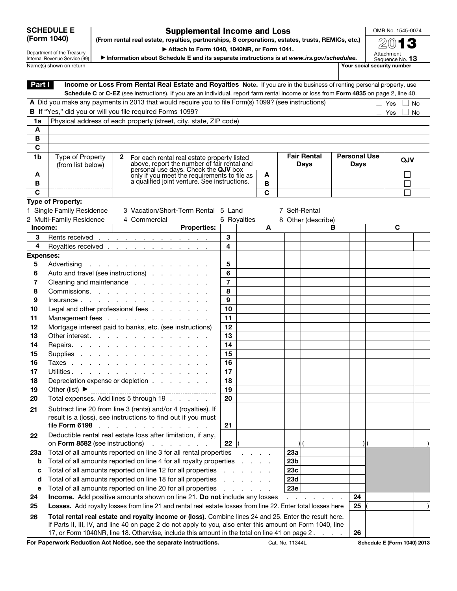## SCHEDULE E (Form 1040)

## Supplemental Income and Loss (From rental real estate, royalties, partnerships, S corporations, estates, trusts, REMICs, etc.)

OMB No. 1545-0074 2013

Department of the Treasury Internal Revenue Service (99) ▶ Attach to Form 1040, 1040NR, or Form 1041.

▶ Information about Schedule E and its separate instructions is at *www.irs.gov/schedulee.* Attachment<br>Sequence No. **13** Name(s) shown on return Your social security number

| Part I           |                                                                   | Income or Loss From Rental Real Estate and Royalties Note. If you are in the business of renting personal property, use<br>Schedule C or C-EZ (see instructions). If you are an individual, report farm rental income or loss from Form 4835 on page 2, line 40. |        |             |   |                 |                    |   |                     |                                    |    |
|------------------|-------------------------------------------------------------------|------------------------------------------------------------------------------------------------------------------------------------------------------------------------------------------------------------------------------------------------------------------|--------|-------------|---|-----------------|--------------------|---|---------------------|------------------------------------|----|
|                  |                                                                   | A Did you make any payments in 2013 that would require you to file Form(s) 1099? (see instructions)                                                                                                                                                              |        |             |   |                 |                    |   |                     | Yes                                | No |
|                  |                                                                   | B If "Yes," did you or will you file required Forms 1099?                                                                                                                                                                                                        |        |             |   |                 |                    |   |                     | Yes                                | No |
| 1a               | Physical address of each property (street, city, state, ZIP code) |                                                                                                                                                                                                                                                                  |        |             |   |                 |                    |   |                     |                                    |    |
| A                |                                                                   |                                                                                                                                                                                                                                                                  |        |             |   |                 |                    |   |                     |                                    |    |
| В                |                                                                   |                                                                                                                                                                                                                                                                  |        |             |   |                 |                    |   |                     |                                    |    |
| $\mathbf c$      |                                                                   |                                                                                                                                                                                                                                                                  |        |             |   |                 |                    |   |                     |                                    |    |
| 1b               | Type of Property                                                  | $\mathbf{2}$<br>For each rental real estate property listed                                                                                                                                                                                                      |        |             |   |                 | <b>Fair Rental</b> |   | <b>Personal Use</b> |                                    |    |
|                  | (from list below)                                                 | above, report the number of fair rental and                                                                                                                                                                                                                      |        |             |   |                 | <b>Days</b>        |   | <b>Days</b>         | QJV                                |    |
| A                |                                                                   | personal use days. Check the QJV box<br>only if you meet the requirements to file as                                                                                                                                                                             |        |             | A |                 |                    |   |                     |                                    |    |
| B                |                                                                   | a qualified joint venture. See instructions.                                                                                                                                                                                                                     |        |             | B |                 |                    |   |                     |                                    |    |
| C                |                                                                   |                                                                                                                                                                                                                                                                  |        |             | C |                 |                    |   |                     |                                    |    |
|                  | Type of Property:                                                 |                                                                                                                                                                                                                                                                  |        |             |   |                 |                    |   |                     |                                    |    |
|                  | 1 Single Family Residence                                         | 3 Vacation/Short-Term Rental 5 Land                                                                                                                                                                                                                              |        |             |   |                 | 7 Self-Rental      |   |                     |                                    |    |
|                  | 2 Multi-Family Residence                                          | 4 Commercial                                                                                                                                                                                                                                                     |        | 6 Royalties |   |                 | 8 Other (describe) |   |                     |                                    |    |
| Income:          |                                                                   | <b>Properties:</b>                                                                                                                                                                                                                                               |        |             | A |                 |                    | в |                     | C                                  |    |
| 3                |                                                                   | Rents received <u>.</u>                                                                                                                                                                                                                                          | 3      |             |   |                 |                    |   |                     |                                    |    |
| 4                |                                                                   | Royalties received <u>.</u>                                                                                                                                                                                                                                      | 4      |             |   |                 |                    |   |                     |                                    |    |
| <b>Expenses:</b> |                                                                   |                                                                                                                                                                                                                                                                  |        |             |   |                 |                    |   |                     |                                    |    |
| 5                |                                                                   | Advertising                                                                                                                                                                                                                                                      | 5      |             |   |                 |                    |   |                     |                                    |    |
| 6                |                                                                   | Auto and travel (see instructions)                                                                                                                                                                                                                               | 6      |             |   |                 |                    |   |                     |                                    |    |
| 7                |                                                                   | Cleaning and maintenance                                                                                                                                                                                                                                         | 7      |             |   |                 |                    |   |                     |                                    |    |
| 8                |                                                                   | Commissions.                                                                                                                                                                                                                                                     | 8<br>9 |             |   |                 |                    |   |                     |                                    |    |
| 9<br>10          |                                                                   | Legal and other professional fees                                                                                                                                                                                                                                | 10     |             |   |                 |                    |   |                     |                                    |    |
| 11               |                                                                   | Management fees                                                                                                                                                                                                                                                  | 11     |             |   |                 |                    |   |                     |                                    |    |
| 12               |                                                                   | Mortgage interest paid to banks, etc. (see instructions)                                                                                                                                                                                                         | 12     |             |   |                 |                    |   |                     |                                    |    |
| 13               |                                                                   | Other interest.                                                                                                                                                                                                                                                  | 13     |             |   |                 |                    |   |                     |                                    |    |
| 14               |                                                                   | Repairs.                                                                                                                                                                                                                                                         | 14     |             |   |                 |                    |   |                     |                                    |    |
| 15               |                                                                   | Supplies                                                                                                                                                                                                                                                         | 15     |             |   |                 |                    |   |                     |                                    |    |
| 16               |                                                                   | Taxes                                                                                                                                                                                                                                                            | 16     |             |   |                 |                    |   |                     |                                    |    |
| 17               |                                                                   | Utilities.                                                                                                                                                                                                                                                       | 17     |             |   |                 |                    |   |                     |                                    |    |
| 18               |                                                                   | Depreciation expense or depletion                                                                                                                                                                                                                                | 18     |             |   |                 |                    |   |                     |                                    |    |
| 19               | Other (list) $\blacktriangleright$                                | -------------------------------------                                                                                                                                                                                                                            | 19     |             |   |                 |                    |   |                     |                                    |    |
| 20               |                                                                   | Total expenses. Add lines 5 through 19                                                                                                                                                                                                                           | 20     |             |   |                 |                    |   |                     |                                    |    |
| 21               |                                                                   | Subtract line 20 from line 3 (rents) and/or 4 (royalties). If                                                                                                                                                                                                    |        |             |   |                 |                    |   |                     |                                    |    |
|                  |                                                                   | result is a (loss), see instructions to find out if you must                                                                                                                                                                                                     |        |             |   |                 |                    |   |                     |                                    |    |
|                  | file Form 6198                                                    |                                                                                                                                                                                                                                                                  | 21     |             |   |                 |                    |   |                     |                                    |    |
| 22               |                                                                   | Deductible rental real estate loss after limitation, if any,                                                                                                                                                                                                     |        |             |   |                 |                    |   |                     |                                    |    |
|                  | on Form 8582 (see instructions)                                   |                                                                                                                                                                                                                                                                  | 22     |             |   |                 |                    |   | $\mathcal{H}$       |                                    |    |
| 23а              |                                                                   | Total of all amounts reported on line 3 for all rental properties                                                                                                                                                                                                |        |             |   | 23a             |                    |   |                     |                                    |    |
| b                |                                                                   | Total of all amounts reported on line 4 for all royalty properties.                                                                                                                                                                                              |        |             |   | 23 <sub>b</sub> |                    |   |                     |                                    |    |
| с                |                                                                   | Total of all amounts reported on line 12 for all properties                                                                                                                                                                                                      |        |             |   | 23c<br>23d      |                    |   |                     |                                    |    |
| d<br>е           |                                                                   | Total of all amounts reported on line 18 for all properties<br>Total of all amounts reported on line 20 for all properties                                                                                                                                       |        |             |   | 23e             |                    |   |                     |                                    |    |
| 24               |                                                                   | <b>Income.</b> Add positive amounts shown on line 21. Do not include any losses                                                                                                                                                                                  |        |             |   |                 |                    |   | 24                  |                                    |    |
| 25               |                                                                   | Losses. Add royalty losses from line 21 and rental real estate losses from line 22. Enter total losses here                                                                                                                                                      |        |             |   |                 |                    |   | 25                  |                                    |    |
| 26               |                                                                   | Total rental real estate and royalty income or (loss). Combine lines 24 and 25. Enter the result here.                                                                                                                                                           |        |             |   |                 |                    |   |                     |                                    |    |
|                  |                                                                   | If Parts II, III, IV, and line 40 on page 2 do not apply to you, also enter this amount on Form 1040, line                                                                                                                                                       |        |             |   |                 |                    |   |                     |                                    |    |
|                  |                                                                   | 17, or Form 1040NR, line 18. Otherwise, include this amount in the total on line 41 on page 2.                                                                                                                                                                   |        |             |   |                 |                    |   | 26                  |                                    |    |
|                  |                                                                   | For Paperwork Reduction Act Notice, see the separate instructions.                                                                                                                                                                                               |        |             |   | Cat. No. 11344L |                    |   |                     | <b>Schedule E (Form 1040) 2013</b> |    |